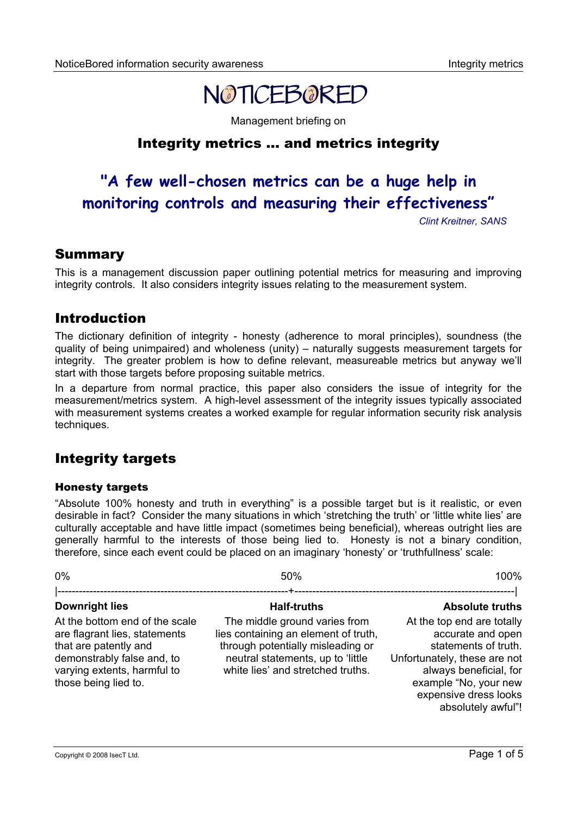

Management briefing on

# Integrity metrics … and metrics integrity

# **"A few well-chosen metrics can be a huge help in monitoring controls and measuring their effectiveness"**

*Clint Kreitner, SANS*

### Summary

This is a management discussion paper outlining potential metrics for measuring and improving integrity controls. It also considers integrity issues relating to the measurement system.

## Introduction

The dictionary definition of integrity - honesty (adherence to moral principles), soundness (the quality of being unimpaired) and wholeness (unity) – naturally suggests measurement targets for integrity. The greater problem is how to define relevant, measureable metrics but anyway we'll start with those targets before proposing suitable metrics.

In a departure from normal practice, this paper also considers the issue of integrity for the measurement/metrics system. A high-level assessment of the integrity issues typically associated with measurement systems creates a worked example for regular information security risk analysis techniques.

# Integrity targets

#### Honesty targets

"Absolute 100% honesty and truth in everything" is a possible target but is it realistic, or even desirable in fact? Consider the many situations in which 'stretching the truth' or 'little white lies' are culturally acceptable and have little impact (sometimes being beneficial), whereas outright lies are generally harmful to the interests of those being lied to. Honesty is not a binary condition, therefore, since each event could be placed on an imaginary 'honesty' or 'truthfullness' scale:

| 0%                                                                                                                                                                            | 50%                                                                                                                                                                                  | 100%                                                                                                                                                                                                      |  |
|-------------------------------------------------------------------------------------------------------------------------------------------------------------------------------|--------------------------------------------------------------------------------------------------------------------------------------------------------------------------------------|-----------------------------------------------------------------------------------------------------------------------------------------------------------------------------------------------------------|--|
|                                                                                                                                                                               |                                                                                                                                                                                      | --------------------------------                                                                                                                                                                          |  |
| <b>Downright lies</b>                                                                                                                                                         | <b>Half-truths</b>                                                                                                                                                                   | <b>Absolute truths</b>                                                                                                                                                                                    |  |
| At the bottom end of the scale<br>are flagrant lies, statements<br>that are patently and<br>demonstrably false and, to<br>varying extents, harmful to<br>those being lied to. | The middle ground varies from<br>lies containing an element of truth,<br>through potentially misleading or<br>neutral statements, up to 'little<br>white lies' and stretched truths. | At the top end are totally<br>accurate and open<br>statements of truth.<br>Unfortunately, these are not<br>always beneficial, for<br>example "No, your new<br>expensive dress looks<br>absolutely awful"! |  |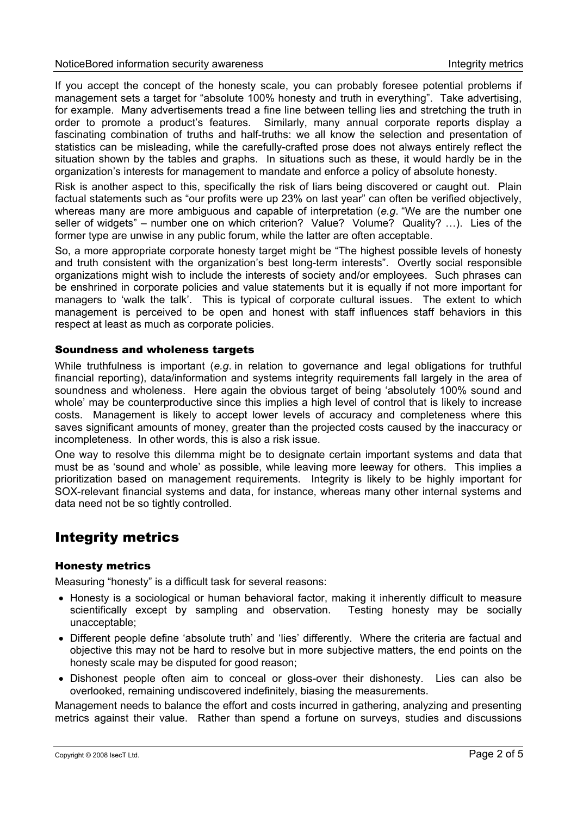If you accept the concept of the honesty scale, you can probably foresee potential problems if management sets a target for "absolute 100% honesty and truth in everything". Take advertising, for example. Many advertisements tread a fine line between telling lies and stretching the truth in order to promote a product's features. Similarly, many annual corporate reports display a fascinating combination of truths and half-truths: we all know the selection and presentation of statistics can be misleading, while the carefully-crafted prose does not always entirely reflect the situation shown by the tables and graphs. In situations such as these, it would hardly be in the organization's interests for management to mandate and enforce a policy of absolute honesty.

Risk is another aspect to this, specifically the risk of liars being discovered or caught out. Plain factual statements such as "our profits were up 23% on last year" can often be verified objectively, whereas many are more ambiguous and capable of interpretation (*e.g*. "We are the number one seller of widgets" – number one on which criterion? Value? Volume? Quality? ...). Lies of the former type are unwise in any public forum, while the latter are often acceptable.

So, a more appropriate corporate honesty target might be "The highest possible levels of honesty and truth consistent with the organization's best long-term interests". Overtly social responsible organizations might wish to include the interests of society and/or employees. Such phrases can be enshrined in corporate policies and value statements but it is equally if not more important for managers to 'walk the talk'. This is typical of corporate cultural issues. The extent to which management is perceived to be open and honest with staff influences staff behaviors in this respect at least as much as corporate policies.

#### Soundness and wholeness targets

While truthfulness is important (*e.g*. in relation to governance and legal obligations for truthful financial reporting), data/information and systems integrity requirements fall largely in the area of soundness and wholeness. Here again the obvious target of being 'absolutely 100% sound and whole' may be counterproductive since this implies a high level of control that is likely to increase costs. Management is likely to accept lower levels of accuracy and completeness where this saves significant amounts of money, greater than the projected costs caused by the inaccuracy or incompleteness. In other words, this is also a risk issue.

One way to resolve this dilemma might be to designate certain important systems and data that must be as 'sound and whole' as possible, while leaving more leeway for others. This implies a prioritization based on management requirements. Integrity is likely to be highly important for SOX-relevant financial systems and data, for instance, whereas many other internal systems and data need not be so tightly controlled.

# Integrity metrics

#### Honesty metrics

Measuring "honesty" is a difficult task for several reasons:

- Honesty is a sociological or human behavioral factor, making it inherently difficult to measure scientifically except by sampling and observation. Testing honesty may be socially unacceptable;
- Different people define 'absolute truth' and 'lies' differently. Where the criteria are factual and objective this may not be hard to resolve but in more subjective matters, the end points on the honesty scale may be disputed for good reason;
- Dishonest people often aim to conceal or gloss-over their dishonesty. Lies can also be overlooked, remaining undiscovered indefinitely, biasing the measurements.

Management needs to balance the effort and costs incurred in gathering, analyzing and presenting metrics against their value. Rather than spend a fortune on surveys, studies and discussions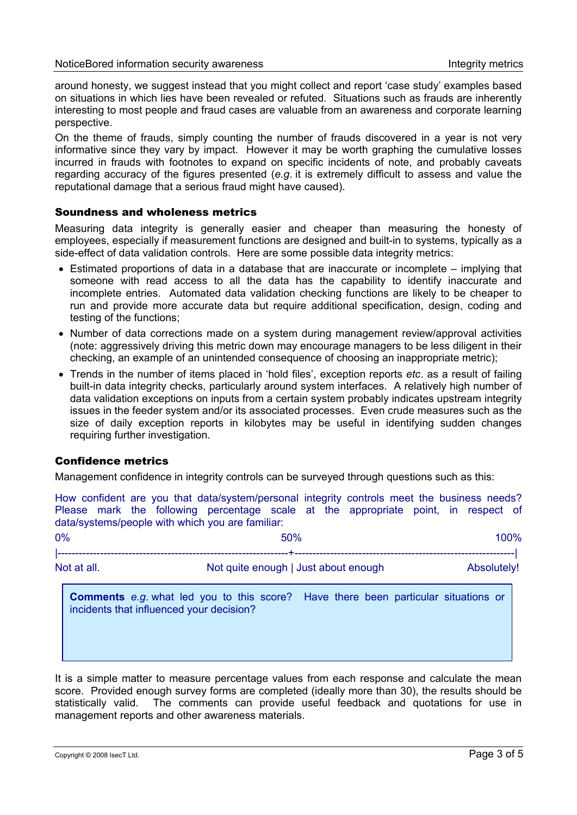around honesty, we suggest instead that you might collect and report 'case study' examples based on situations in which lies have been revealed or refuted. Situations such as frauds are inherently interesting to most people and fraud cases are valuable from an awareness and corporate learning perspective.

On the theme of frauds, simply counting the number of frauds discovered in a year is not very informative since they vary by impact. However it may be worth graphing the cumulative losses incurred in frauds with footnotes to expand on specific incidents of note, and probably caveats regarding accuracy of the figures presented (*e.g*. it is extremely difficult to assess and value the reputational damage that a serious fraud might have caused).

#### Soundness and wholeness metrics

Measuring data integrity is generally easier and cheaper than measuring the honesty of employees, especially if measurement functions are designed and built-in to systems, typically as a side-effect of data validation controls. Here are some possible data integrity metrics:

- Estimated proportions of data in a database that are inaccurate or incomplete implying that someone with read access to all the data has the capability to identify inaccurate and incomplete entries. Automated data validation checking functions are likely to be cheaper to run and provide more accurate data but require additional specification, design, coding and testing of the functions;
- Number of data corrections made on a system during management review/approval activities (note: aggressively driving this metric down may encourage managers to be less diligent in their checking, an example of an unintended consequence of choosing an inappropriate metric);
- Trends in the number of items placed in 'hold files', exception reports *etc*. as a result of failing built-in data integrity checks, particularly around system interfaces. A relatively high number of data validation exceptions on inputs from a certain system probably indicates upstream integrity issues in the feeder system and/or its associated processes. Even crude measures such as the size of daily exception reports in kilobytes may be useful in identifying sudden changes requiring further investigation.

#### Confidence metrics

Management confidence in integrity controls can be surveyed through questions such as this:

How confident are you that data/system/personal integrity controls meet the business needs? Please mark the following percentage scale at the appropriate point, in respect of data/systems/people with which you are familiar:

| 0%                                                  |                                                                                                                                       | 50% |  | 100%        |  |
|-----------------------------------------------------|---------------------------------------------------------------------------------------------------------------------------------------|-----|--|-------------|--|
| Not at all.<br>Not quite enough   Just about enough |                                                                                                                                       |     |  | Absolutely! |  |
|                                                     | <b>Comments</b> e.g. what led you to this score? Have there been particular situations or<br>incidents that influenced your decision? |     |  |             |  |

It is a simple matter to measure percentage values from each response and calculate the mean score. Provided enough survey forms are completed (ideally more than 30), the results should be statistically valid. The comments can provide useful feedback and quotations for use in management reports and other awareness materials.

Copyright © 2008 IsecT Ltd. **Page 3 of 5**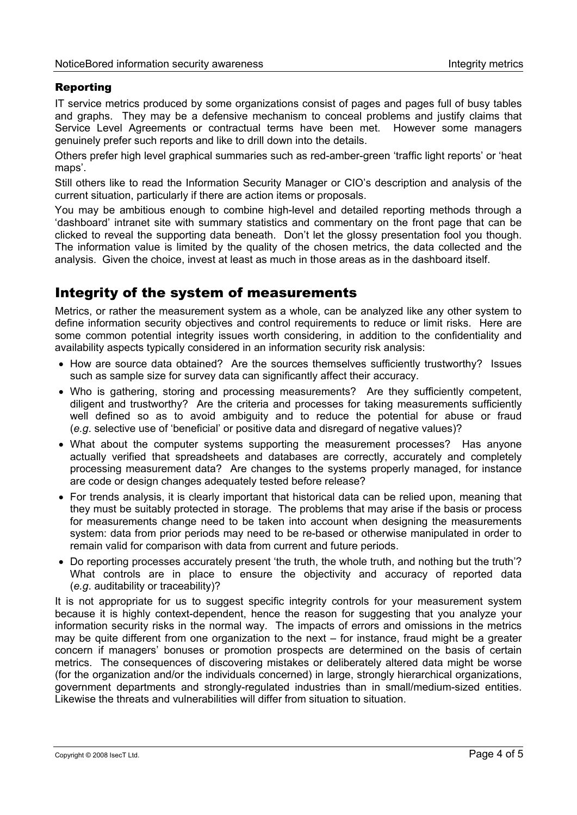#### Reporting

IT service metrics produced by some organizations consist of pages and pages full of busy tables and graphs. They may be a defensive mechanism to conceal problems and justify claims that Service Level Agreements or contractual terms have been met. However some managers genuinely prefer such reports and like to drill down into the details.

Others prefer high level graphical summaries such as red-amber-green 'traffic light reports' or 'heat maps'.

Still others like to read the Information Security Manager or CIO's description and analysis of the current situation, particularly if there are action items or proposals.

You may be ambitious enough to combine high-level and detailed reporting methods through a 'dashboard' intranet site with summary statistics and commentary on the front page that can be clicked to reveal the supporting data beneath. Don't let the glossy presentation fool you though. The information value is limited by the quality of the chosen metrics, the data collected and the analysis. Given the choice, invest at least as much in those areas as in the dashboard itself.

## Integrity of the system of measurements

Metrics, or rather the measurement system as a whole, can be analyzed like any other system to define information security objectives and control requirements to reduce or limit risks. Here are some common potential integrity issues worth considering, in addition to the confidentiality and availability aspects typically considered in an information security risk analysis:

- How are source data obtained? Are the sources themselves sufficiently trustworthy? Issues such as sample size for survey data can significantly affect their accuracy.
- Who is gathering, storing and processing measurements? Are they sufficiently competent, diligent and trustworthy? Are the criteria and processes for taking measurements sufficiently well defined so as to avoid ambiguity and to reduce the potential for abuse or fraud (*e.g*. selective use of 'beneficial' or positive data and disregard of negative values)?
- What about the computer systems supporting the measurement processes? Has anyone actually verified that spreadsheets and databases are correctly, accurately and completely processing measurement data? Are changes to the systems properly managed, for instance are code or design changes adequately tested before release?
- For trends analysis, it is clearly important that historical data can be relied upon, meaning that they must be suitably protected in storage. The problems that may arise if the basis or process for measurements change need to be taken into account when designing the measurements system: data from prior periods may need to be re-based or otherwise manipulated in order to remain valid for comparison with data from current and future periods.
- Do reporting processes accurately present 'the truth, the whole truth, and nothing but the truth'? What controls are in place to ensure the objectivity and accuracy of reported data (*e.g*. auditability or traceability)?

It is not appropriate for us to suggest specific integrity controls for your measurement system because it is highly context-dependent, hence the reason for suggesting that you analyze your information security risks in the normal way. The impacts of errors and omissions in the metrics may be quite different from one organization to the next – for instance, fraud might be a greater concern if managers' bonuses or promotion prospects are determined on the basis of certain metrics. The consequences of discovering mistakes or deliberately altered data might be worse (for the organization and/or the individuals concerned) in large, strongly hierarchical organizations, government departments and strongly-regulated industries than in small/medium-sized entities. Likewise the threats and vulnerabilities will differ from situation to situation.